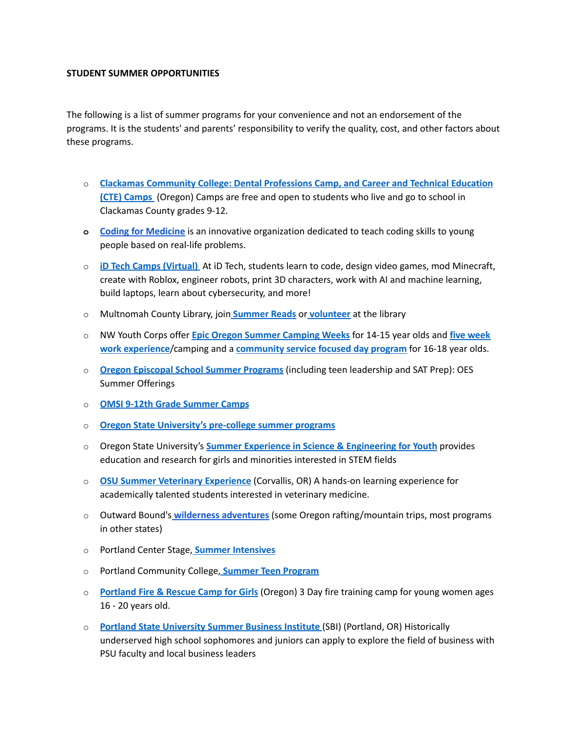## **STUDENT SUMMER OPPORTUNITIES**

The following is a list of summer programs for your convenience and not an endorsement of the programs. It is the students' and parents' responsibility to verify the quality, cost, and other factors about these programs.

- o **Clackamas [Community](https://www.clackamas.edu/academics/academic-offerings/high-school-connections/summer-programs) College: Dental Professions Camp, and Career and Technical Education (CTE) [Camps](https://www.clackamas.edu/academics/academic-offerings/high-school-connections/summer-programs)** (Oregon) Camps are free and open to students who live and go to school in Clackamas County grades 9-12.
- **o Coding for [Medicine](https://hs.coding4medicine.com/online/)** is an innovative organization dedicated to teach coding skills to young people based on real-life problems.
- o **iD Tech Camps [\(Virtual\)](https://www.idtech.com/virtual)** At iD Tech, students learn to code, design video games, mod Minecraft, create with Roblox, engineer robots, print 3D characters, work with AI and machine learning, build laptops, learn about cybersecurity, and more!
- o Multnomah County Library, joi[n](https://multcolib.org/summer-reading) **[Summer](https://multcolib.org/summer-reading) Reads** or **[volunteer](https://multcolib.org/volunteer)** at the library
- o NW Youth Corps offer **Epic Oregon Summer [Camping](http://www.nwyouthcorps.org/m/ourprograms/yccommunity) Weeks** for 14-15 year olds and **five [week](http://www.nwyouthcorps.org/m/ourprograms/yccamping) work [experience](http://www.nwyouthcorps.org/m/ourprograms/yccamping)**/camping and a **[community](http://www.nwyouthcorps.org/m/ourprograms/yccommunity) service focused day program** for 16-18 year olds.
- o **Oregon Episcopal School Summer [Programs](https://www.oes.edu/summer)** (including teen leadership and SAT Prep): OES Summer Offerings
- o **OMSI 9-12th Grade [Summer](https://omsi.edu/camps-classes-results?field_grade_level_tid%5B%5D=425) Camps**
- o **Oregon State [University's](https://precollege.oregonstate.edu/summer) pre-college summer programs**
- o Oregon State University's **Summer Experience in Science & [Engineering](http://cbee.oregonstate.edu/sesey) for Youth** provides education and research for girls and minorities interested in STEM fields
- o **OSU Summer Veterinary [Experience](http://vetmed.oregonstate.edu/osu-summer-veterinary-experience)** (Corvallis, OR) A hands-on learning experience for academically talented students interested in veterinary medicine.
- o Outward Bound's **[w](http://www.outwardbound.org/course-finder/wilderness-expeditions/)ilderness [adventures](https://www.outwardbound.org/expeditions/high-school-expeditions/)** (some Oregon rafting/mountain trips, most programs in other states)
- o Portland Center Stage, **Summer [Intensives](https://www.pcs.org/education-and-community-programs/teens)**
- o Portland Community College[,](http://www.pcc.edu/community/teen/) **Summer Teen [Program](https://www.pcc.edu/community/teen/)**
- o **[Portland](https://www.portlandoregon.gov/fire/58307) Fire & Rescue Camp for Girls** (Oregon) 3 Day fire training camp for young women ages 16 - 20 years old.
- o **Portland State [University](https://www.pdx.edu/business/summer-business-institute) Summer Business Institute** (SBI) (Portland, OR) Historically underserved high school sophomores and juniors can apply to explore the field of business with PSU faculty and local business leaders